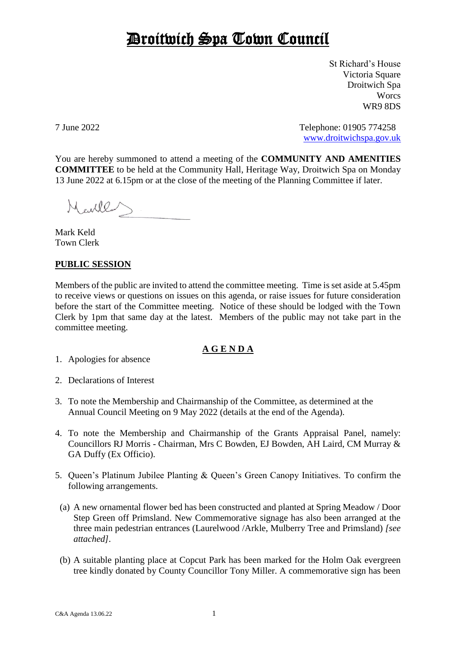## Droitwich Spa Town Council

St Richard's House Victoria Square Droitwich Spa **Worcs** WR9 8DS

7 June 2022 Telephone: 01905 774258 [www.droitwichspa.gov.uk](http://www.droitwichspa.gov.uk/)

You are hereby summoned to attend a meeting of the **COMMUNITY AND AMENITIES COMMITTEE** to be held at the Community Hall, Heritage Way, Droitwich Spa on Monday 13 June 2022 at 6.15pm or at the close of the meeting of the Planning Committee if later.

Marler

Mark Keld Town Clerk

## **PUBLIC SESSION**

Members of the public are invited to attend the committee meeting. Time is set aside at 5.45pm to receive views or questions on issues on this agenda, or raise issues for future consideration before the start of the Committee meeting. Notice of these should be lodged with the Town Clerk by 1pm that same day at the latest. Members of the public may not take part in the committee meeting.

## **A G E N D A**

- 1. Apologies for absence
- 2. Declarations of Interest
- 3. To note the Membership and Chairmanship of the Committee, as determined at the Annual Council Meeting on 9 May 2022 (details at the end of the Agenda).
- 4. To note the Membership and Chairmanship of the Grants Appraisal Panel, namely: Councillors RJ Morris - Chairman, Mrs C Bowden, EJ Bowden, AH Laird, CM Murray & GA Duffy (Ex Officio).
- 5. Queen's Platinum Jubilee Planting & Queen's Green Canopy Initiatives. To confirm the following arrangements.
- (a) A new ornamental flower bed has been constructed and planted at Spring Meadow / Door Step Green off Primsland. New Commemorative signage has also been arranged at the three main pedestrian entrances (Laurelwood /Arkle, Mulberry Tree and Primsland) *[see attached].*
- (b) A suitable planting place at Copcut Park has been marked for the Holm Oak evergreen tree kindly donated by County Councillor Tony Miller. A commemorative sign has been